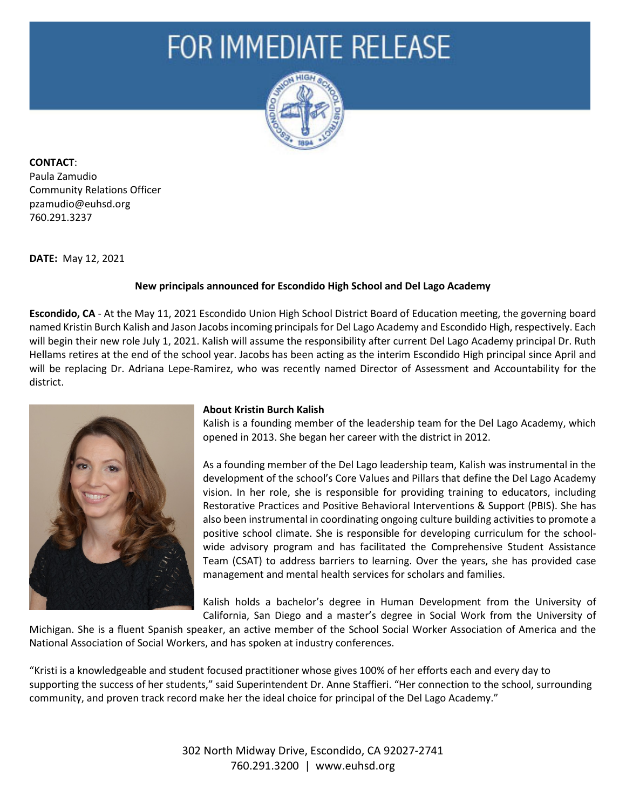## FOR IMMEDIATE RELEASE



**CONTACT**:

Paula Zamudio Community Relations Officer pzamudio@euhsd.org 760.291.3237

**DATE:** May 12, 2021

## **New principals announced for Escondido High School and Del Lago Academy**

**Escondido, CA** - At the May 11, 2021 Escondido Union High School District Board of Education meeting, the governing board named Kristin Burch Kalish and Jason Jacobs incoming principals for Del Lago Academy and Escondido High, respectively. Each will begin their new role July 1, 2021. Kalish will assume the responsibility after current Del Lago Academy principal Dr. Ruth Hellams retires at the end of the school year. Jacobs has been acting as the interim Escondido High principal since April and will be replacing Dr. Adriana Lepe-Ramirez, who was recently named Director of Assessment and Accountability for the district.



## **About Kristin Burch Kalish**

Kalish is a founding member of the leadership team for the Del Lago Academy, which opened in 2013. She began her career with the district in 2012.

As a founding member of the Del Lago leadership team, Kalish was instrumental in the development of the school's Core Values and Pillars that define the Del Lago Academy vision. In her role, she is responsible for providing training to educators, including Restorative Practices and Positive Behavioral Interventions & Support (PBIS). She has also been instrumental in coordinating ongoing culture building activities to promote a positive school climate. She is responsible for developing curriculum for the schoolwide advisory program and has facilitated the Comprehensive Student Assistance Team (CSAT) to address barriers to learning. Over the years, she has provided case management and mental health services for scholars and families.

Kalish holds a bachelor's degree in Human Development from the University of California, San Diego and a master's degree in Social Work from the University of

Michigan. She is a fluent Spanish speaker, an active member of the School Social Worker Association of America and the National Association of Social Workers, and has spoken at industry conferences.

"Kristi is a knowledgeable and student focused practitioner whose gives 100% of her efforts each and every day to supporting the success of her students," said Superintendent Dr. Anne Staffieri. "Her connection to the school, surrounding community, and proven track record make her the ideal choice for principal of the Del Lago Academy."

> 302 North Midway Drive, Escondido, CA 92027-2741 760.291.3200 | www.euhsd.org